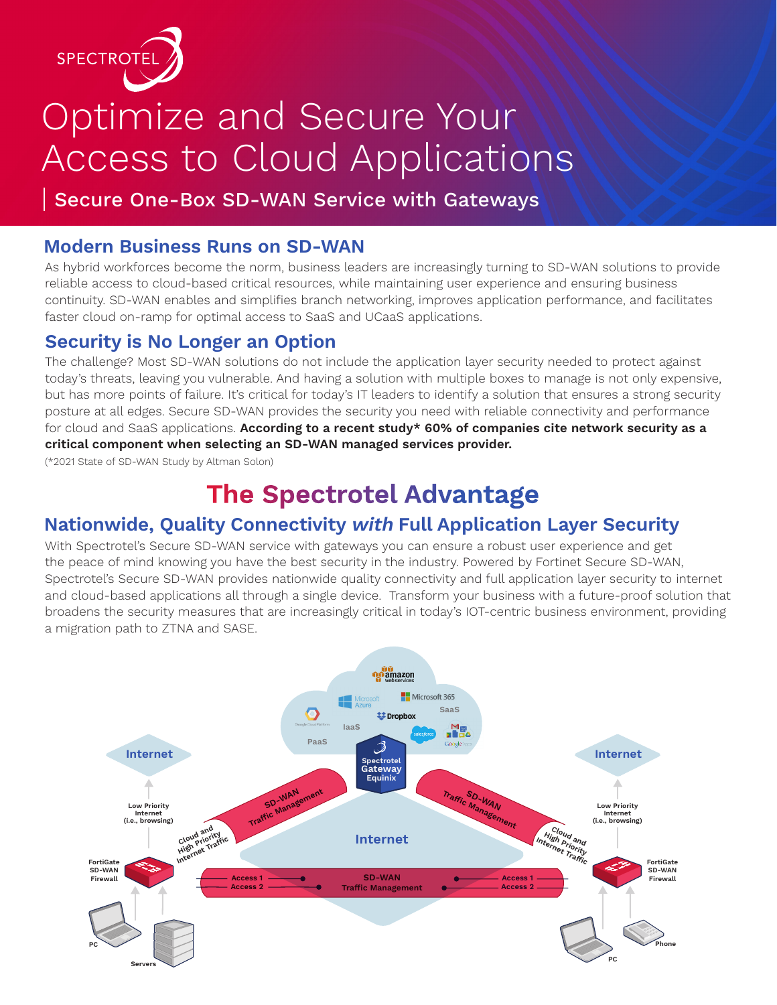

# Optimize and Secure Your Access to Cloud Applications

Secure One-Box SD-WAN Service with Gateways

#### **Modern Business Runs on SD-WAN**

As hybrid workforces become the norm, business leaders are increasingly turning to SD-WAN solutions to provide reliable access to cloud-based critical resources, while maintaining user experience and ensuring business continuity. SD-WAN enables and simplifies branch networking, improves application performance, and facilitates faster cloud on-ramp for optimal access to SaaS and UCaaS applications.

### **Security is No Longer an Option**

The challenge? Most SD-WAN solutions do not include the application layer security needed to protect against today's threats, leaving you vulnerable. And having a solution with multiple boxes to manage is not only expensive, but has more points of failure. It's critical for today's IT leaders to identify a solution that ensures a strong security posture at all edges. Secure SD-WAN provides the security you need with reliable connectivity and performance for cloud and SaaS applications. **According to a recent study\* 60% of companies cite network security as a critical component when selecting an SD-WAN managed services provider.**

(\*2021 State of SD-WAN Study by Altman Solon)

# **The Spectrotel Advantage**

## **Nationwide, Quality Connectivity with Full Application Layer Security**

With Spectrotel's Secure SD-WAN service with gateways you can ensure a robust user experience and get the peace of mind knowing you have the best security in the industry. Powered by Fortinet Secure SD-WAN, Spectrotel's Secure SD-WAN provides nationwide quality connectivity and full application layer security to internet and cloud-based applications all through a single device. Transform your business with a future-proof solution that broadens the security measures that are increasingly critical in today's IOT-centric business environment, providing a migration path to ZTNA and SASE.